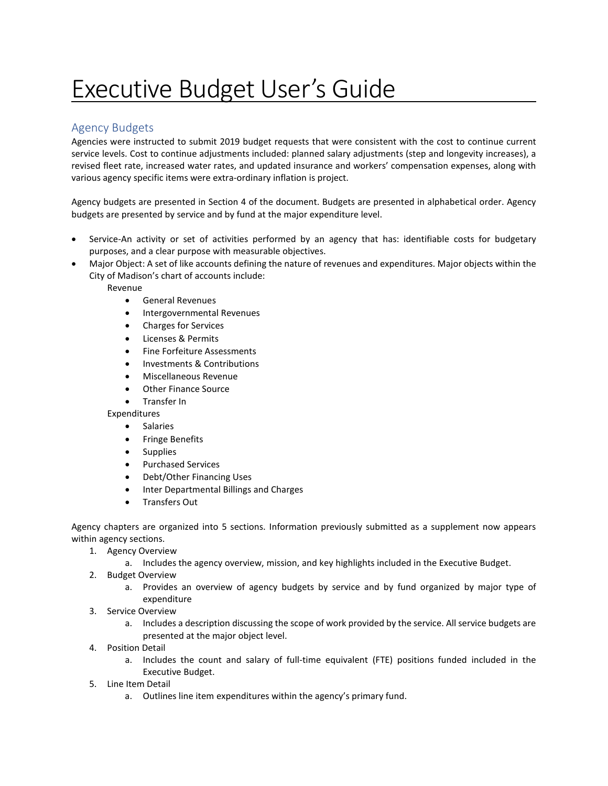# Executive Budget User's Guide

## Agency Budgets

Agencies were instructed to submit 2019 budget requests that were consistent with the cost to continue current service levels. Cost to continue adjustments included: planned salary adjustments (step and longevity increases), a revised fleet rate, increased water rates, and updated insurance and workers' compensation expenses, along with various agency specific items were extra-ordinary inflation is project.

Agency budgets are presented in Section 4 of the document. Budgets are presented in alphabetical order. Agency budgets are presented by service and by fund at the major expenditure level.

- Service-An activity or set of activities performed by an agency that has: identifiable costs for budgetary purposes, and a clear purpose with measurable objectives.
- Major Object: A set of like accounts defining the nature of revenues and expenditures. Major objects within the City of Madison's chart of accounts include:

Revenue

- General Revenues
- Intergovernmental Revenues
- Charges for Services
- Licenses & Permits
- Fine Forfeiture Assessments
- Investments & Contributions
- Miscellaneous Revenue
- Other Finance Source
- Transfer In

Expenditures

- Salaries
- Fringe Benefits
- Supplies
- Purchased Services
- Debt/Other Financing Uses
- Inter Departmental Billings and Charges
- Transfers Out

Agency chapters are organized into 5 sections. Information previously submitted as a supplement now appears within agency sections.

- 1. Agency Overview
	- a. Includes the agency overview, mission, and key highlights included in the Executive Budget.
- 2. Budget Overview
	- a. Provides an overview of agency budgets by service and by fund organized by major type of expenditure
- 3. Service Overview
	- a. Includes a description discussing the scope of work provided by the service. All service budgets are presented at the major object level.
- 4. Position Detail
	- a. Includes the count and salary of full-time equivalent (FTE) positions funded included in the Executive Budget.
- 5. Line Item Detail
	- a. Outlines line item expenditures within the agency's primary fund.